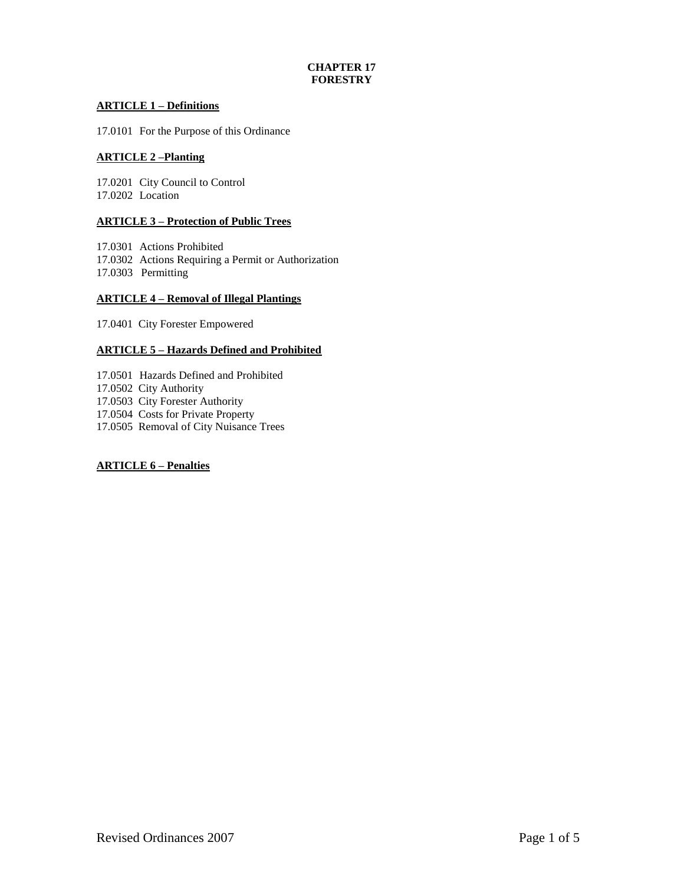# **CHAPTER 17 FORESTRY**

# **ARTICLE 1 – Definitions**

17.0101 For the Purpose of this Ordinance

# **ARTICLE 2 –Planting**

17.0201 City Council to Control 17.0202 Location

# **ARTICLE 3 – Protection of Public Trees**

17.0301 Actions Prohibited 17.0302 Actions Requiring a Permit or Authorization 17.0303 Permitting

# **ARTICLE 4 – Removal of Illegal Plantings**

17.0401 City Forester Empowered

# **ARTICLE 5 – Hazards Defined and Prohibited**

17.0501 Hazards Defined and Prohibited 17.0502 City Authority 17.0503 City Forester Authority 17.0504 Costs for Private Property 17.0505 Removal of City Nuisance Trees

## **ARTICLE 6 – Penalties**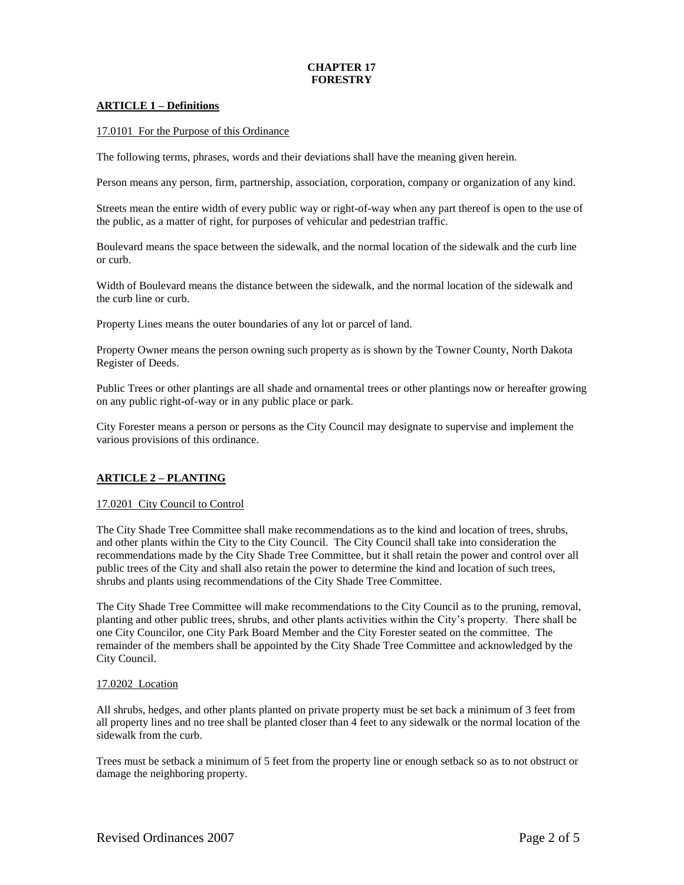# **CHAPTER 17 FORESTRY**

## **ARTICLE 1 – Definitions**

17.0101 For the Purpose of this Ordinance

The following terms, phrases, words and their deviations shall have the meaning given herein.

Person means any person, firm, partnership, association, corporation, company or organization of any kind.

Streets mean the entire width of every public way or right-of-way when any part thereof is open to the use of the public, as a matter of right, for purposes of vehicular and pedestrian traffic.

Boulevard means the space between the sidewalk, and the normal location of the sidewalk and the curb line or curb.

Width of Boulevard means the distance between the sidewalk, and the normal location of the sidewalk and the curb line or curb.

Property Lines means the outer boundaries of any lot or parcel of land.

Property Owner means the person owning such property as is shown by the Towner County, North Dakota Register of Deeds.

Public Trees or other plantings are all shade and ornamental trees or other plantings now or hereafter growing on any public right-of-way or in any public place or park.

City Forester means a person or persons as the City Council may designate to supervise and implement the various provisions of this ordinance.

## **ARTICLE 2 – PLANTING**

#### 17.0201 City Council to Control

The City Shade Tree Committee shall make recommendations as to the kind and location of trees, shrubs, and other plants within the City to the City Council. The City Council shall take into consideration the recommendations made by the City Shade Tree Committee, but it shall retain the power and control over all public trees of the City and shall also retain the power to determine the kind and location of such trees, shrubs and plants using recommendations of the City Shade Tree Committee.

The City Shade Tree Committee will make recommendations to the City Council as to the pruning, removal, planting and other public trees, shrubs, and other plants activities within the City's property. There shall be one City Councilor, one City Park Board Member and the City Forester seated on the committee. The remainder of the members shall be appointed by the City Shade Tree Committee and acknowledged by the City Council.

#### 17.0202 Location

All shrubs, hedges, and other plants planted on private property must be set back a minimum of 3 feet from all property lines and no tree shall be planted closer than 4 feet to any sidewalk or the normal location of the sidewalk from the curb.

Trees must be setback a minimum of 5 feet from the property line or enough setback so as to not obstruct or damage the neighboring property.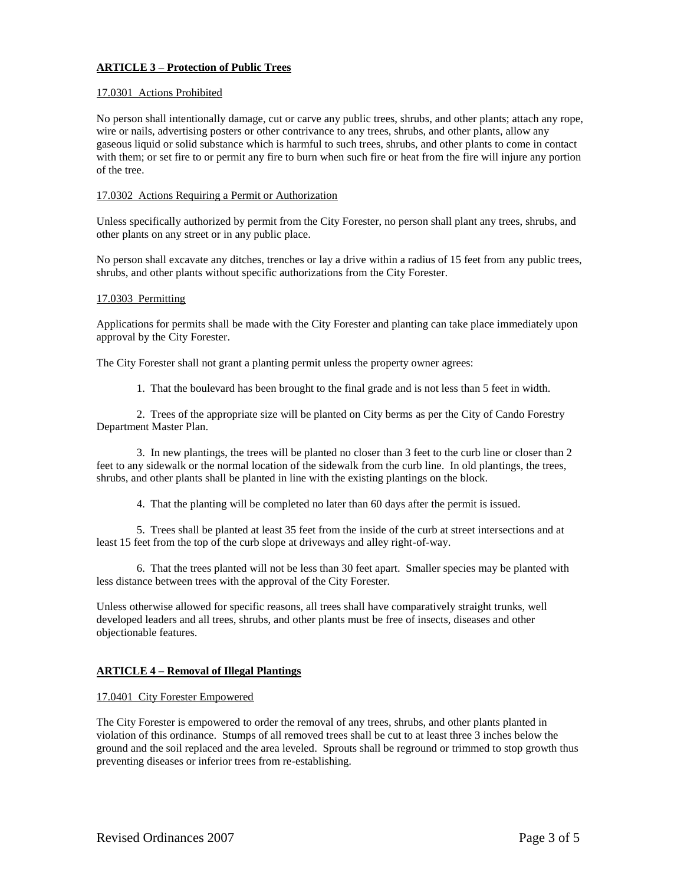# **ARTICLE 3 – Protection of Public Trees**

### 17.0301 Actions Prohibited

No person shall intentionally damage, cut or carve any public trees, shrubs, and other plants; attach any rope, wire or nails, advertising posters or other contrivance to any trees, shrubs, and other plants, allow any gaseous liquid or solid substance which is harmful to such trees, shrubs, and other plants to come in contact with them; or set fire to or permit any fire to burn when such fire or heat from the fire will injure any portion of the tree.

### 17.0302 Actions Requiring a Permit or Authorization

Unless specifically authorized by permit from the City Forester, no person shall plant any trees, shrubs, and other plants on any street or in any public place.

No person shall excavate any ditches, trenches or lay a drive within a radius of 15 feet from any public trees, shrubs, and other plants without specific authorizations from the City Forester.

#### 17.0303 Permitting

Applications for permits shall be made with the City Forester and planting can take place immediately upon approval by the City Forester.

The City Forester shall not grant a planting permit unless the property owner agrees:

1. That the boulevard has been brought to the final grade and is not less than 5 feet in width.

2. Trees of the appropriate size will be planted on City berms as per the City of Cando Forestry Department Master Plan.

3. In new plantings, the trees will be planted no closer than 3 feet to the curb line or closer than 2 feet to any sidewalk or the normal location of the sidewalk from the curb line. In old plantings, the trees, shrubs, and other plants shall be planted in line with the existing plantings on the block.

4. That the planting will be completed no later than 60 days after the permit is issued.

5. Trees shall be planted at least 35 feet from the inside of the curb at street intersections and at least 15 feet from the top of the curb slope at driveways and alley right-of-way.

6. That the trees planted will not be less than 30 feet apart. Smaller species may be planted with less distance between trees with the approval of the City Forester.

Unless otherwise allowed for specific reasons, all trees shall have comparatively straight trunks, well developed leaders and all trees, shrubs, and other plants must be free of insects, diseases and other objectionable features.

#### **ARTICLE 4 – Removal of Illegal Plantings**

#### 17.0401 City Forester Empowered

The City Forester is empowered to order the removal of any trees, shrubs, and other plants planted in violation of this ordinance. Stumps of all removed trees shall be cut to at least three 3 inches below the ground and the soil replaced and the area leveled. Sprouts shall be reground or trimmed to stop growth thus preventing diseases or inferior trees from re-establishing.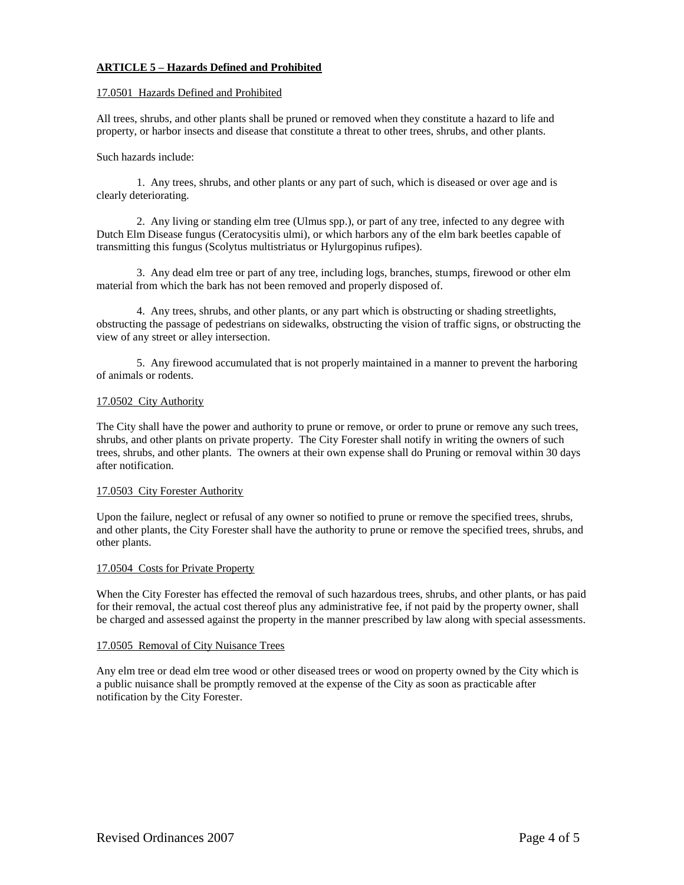## **ARTICLE 5 – Hazards Defined and Prohibited**

### 17.0501 Hazards Defined and Prohibited

All trees, shrubs, and other plants shall be pruned or removed when they constitute a hazard to life and property, or harbor insects and disease that constitute a threat to other trees, shrubs, and other plants.

### Such hazards include:

1. Any trees, shrubs, and other plants or any part of such, which is diseased or over age and is clearly deteriorating.

2. Any living or standing elm tree (Ulmus spp.), or part of any tree, infected to any degree with Dutch Elm Disease fungus (Ceratocysitis ulmi), or which harbors any of the elm bark beetles capable of transmitting this fungus (Scolytus multistriatus or Hylurgopinus rufipes).

3. Any dead elm tree or part of any tree, including logs, branches, stumps, firewood or other elm material from which the bark has not been removed and properly disposed of.

4. Any trees, shrubs, and other plants, or any part which is obstructing or shading streetlights, obstructing the passage of pedestrians on sidewalks, obstructing the vision of traffic signs, or obstructing the view of any street or alley intersection.

5. Any firewood accumulated that is not properly maintained in a manner to prevent the harboring of animals or rodents.

### 17.0502 City Authority

The City shall have the power and authority to prune or remove, or order to prune or remove any such trees, shrubs, and other plants on private property. The City Forester shall notify in writing the owners of such trees, shrubs, and other plants. The owners at their own expense shall do Pruning or removal within 30 days after notification.

## 17.0503 City Forester Authority

Upon the failure, neglect or refusal of any owner so notified to prune or remove the specified trees, shrubs, and other plants, the City Forester shall have the authority to prune or remove the specified trees, shrubs, and other plants.

#### 17.0504 Costs for Private Property

When the City Forester has effected the removal of such hazardous trees, shrubs, and other plants, or has paid for their removal, the actual cost thereof plus any administrative fee, if not paid by the property owner, shall be charged and assessed against the property in the manner prescribed by law along with special assessments.

## 17.0505 Removal of City Nuisance Trees

Any elm tree or dead elm tree wood or other diseased trees or wood on property owned by the City which is a public nuisance shall be promptly removed at the expense of the City as soon as practicable after notification by the City Forester.